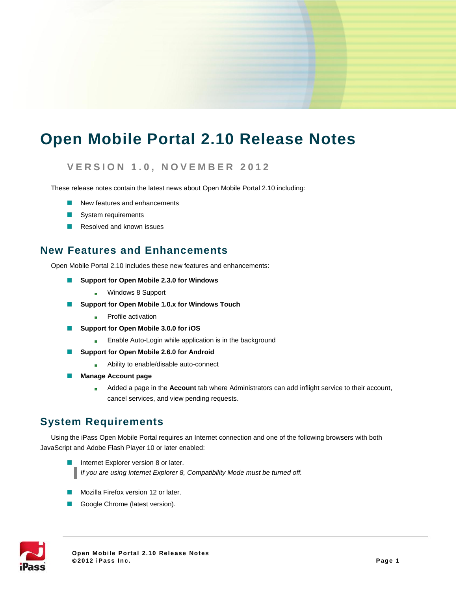# **Open Mobile Portal 2.10 Release Notes**

### **V E R S I O N 1 . 0 , N O V E M B E R 2 0 1 2**

These release notes contain the latest news about Open Mobile Portal 2.10 including:

- New features and enhancements
- System requirements
- Resolved and known issues п

#### **New Features and Enhancements**

Open Mobile Portal 2.10 includes these new features and enhancements:

- **Support for Open Mobile 2.3.0 for Windows**  $\blacksquare$ 
	- Windows 8 Support a.<br>Ka
- **Support for Open Mobile 1.0.x for Windows Touch** m.
	- Profile activation i.
- **Support for Open Mobile 3.0.0 for iOS**  m.
	- Enable Auto-Login while application is in the background isc
- **Support for Open Mobile 2.6.0 for Android**
	- Ability to enable/disable auto-connect i.<br>Ga
- m. **Manage Account page**
	- Added a page in the **Account** tab where Administrators can add inflight service to their account, ti. cancel services, and view pending requests.

### **System Requirements**

Using the iPass Open Mobile Portal requires an Internet connection and one of the following browsers with both JavaScript and Adobe Flash Player 10 or later enabled:

- Internet Explorer version 8 or later. *If you are using Internet Explorer 8, Compatibility Mode must be turned off.*
- Mozilla Firefox version 12 or later.
- Google Chrome (latest version).

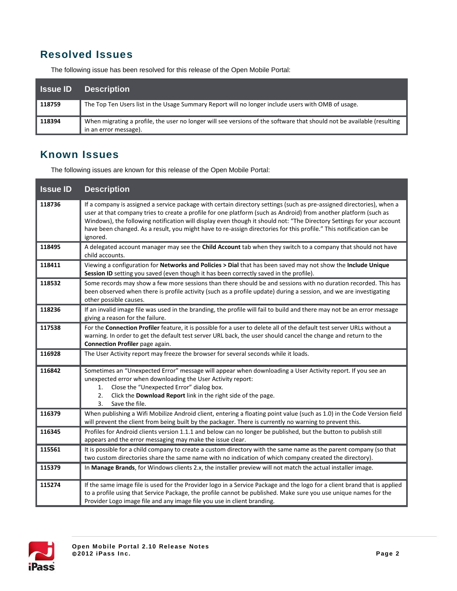# **Resolved Issues**

The following issue has been resolved for this release of the Open Mobile Portal:

| <b>Sance ID</b> | <b>Description</b>                                                                                                                              |
|-----------------|-------------------------------------------------------------------------------------------------------------------------------------------------|
| 118759          | The Top Ten Users list in the Usage Summary Report will no longer include users with OMB of usage.                                              |
| 118394          | When migrating a profile, the user no longer will see versions of the software that should not be available (resulting<br>in an error message). |

### **Known Issues**

The following issues are known for this release of the Open Mobile Portal:

| <b>Issue ID</b> | <b>Description</b>                                                                                                                                                                                                                                                                                                                                                                                                                                                                                    |
|-----------------|-------------------------------------------------------------------------------------------------------------------------------------------------------------------------------------------------------------------------------------------------------------------------------------------------------------------------------------------------------------------------------------------------------------------------------------------------------------------------------------------------------|
| 118736          | If a company is assigned a service package with certain directory settings (such as pre-assigned directories), when a<br>user at that company tries to create a profile for one platform (such as Android) from another platform (such as<br>Windows), the following notification will display even though it should not: "The Directory Settings for your account<br>have been changed. As a result, you might have to re-assign directories for this profile." This notification can be<br>ignored. |
| 118495          | A delegated account manager may see the Child Account tab when they switch to a company that should not have<br>child accounts.                                                                                                                                                                                                                                                                                                                                                                       |
| 118411          | Viewing a configuration for Networks and Policies > Dial that has been saved may not show the Include Unique<br>Session ID setting you saved (even though it has been correctly saved in the profile).                                                                                                                                                                                                                                                                                                |
| 118532          | Some records may show a few more sessions than there should be and sessions with no duration recorded. This has<br>been observed when there is profile activity (such as a profile update) during a session, and we are investigating<br>other possible causes.                                                                                                                                                                                                                                       |
| 118236          | If an invalid image file was used in the branding, the profile will fail to build and there may not be an error message<br>giving a reason for the failure.                                                                                                                                                                                                                                                                                                                                           |
| 117538          | For the Connection Profiler feature, it is possible for a user to delete all of the default test server URLs without a<br>warning. In order to get the default test server URL back, the user should cancel the change and return to the<br>Connection Profiler page again.                                                                                                                                                                                                                           |
| 116928          | The User Activity report may freeze the browser for several seconds while it loads.                                                                                                                                                                                                                                                                                                                                                                                                                   |
| 116842          | Sometimes an "Unexpected Error" message will appear when downloading a User Activity report. If you see an<br>unexpected error when downloading the User Activity report:<br>Close the "Unexpected Error" dialog box.<br>1.<br>Click the Download Report link in the right side of the page.<br>2.<br>Save the file.<br>3.                                                                                                                                                                            |
| 116379          | When publishing a Wifi Mobilize Android client, entering a floating point value (such as 1.0) in the Code Version field<br>will prevent the client from being built by the packager. There is currently no warning to prevent this.                                                                                                                                                                                                                                                                   |
| 116345          | Profiles for Android clients version 1.1.1 and below can no longer be published, but the button to publish still<br>appears and the error messaging may make the issue clear.                                                                                                                                                                                                                                                                                                                         |
| 115561          | It is possible for a child company to create a custom directory with the same name as the parent company (so that<br>two custom directories share the same name with no indication of which company created the directory).                                                                                                                                                                                                                                                                           |
| 115379          | In Manage Brands, for Windows clients 2.x, the installer preview will not match the actual installer image.                                                                                                                                                                                                                                                                                                                                                                                           |
| 115274          | If the same image file is used for the Provider logo in a Service Package and the logo for a client brand that is applied<br>to a profile using that Service Package, the profile cannot be published. Make sure you use unique names for the<br>Provider Logo image file and any image file you use in client branding.                                                                                                                                                                              |